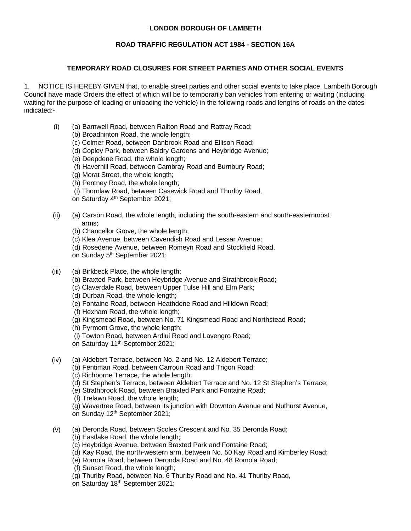## **LONDON BOROUGH OF LAMBETH**

## **ROAD TRAFFIC REGULATION ACT 1984 - SECTION 16A**

## **TEMPORARY ROAD CLOSURES FOR STREET PARTIES AND OTHER SOCIAL EVENTS**

 1. NOTICE IS HEREBY GIVEN that, to enable street parties and other social events to take place, Lambeth Borough Council have made Orders the effect of which will be to temporarily ban vehicles from entering or waiting (including waiting for the purpose of loading or unloading the vehicle) in the following roads and lengths of roads on the dates indicated:-

- (i) (a) Barnwell Road, between Railton Road and Rattray Road;
	- (b) Broadhinton Road, the whole length;
	- (c) Colmer Road, between Danbrook Road and Ellison Road;
	- (d) Copley Park, between Baldry Gardens and Heybridge Avenue;
	- (e) Deepdene Road, the whole length;
	- (f) Haverhill Road, between Cambray Road and Burnbury Road;
	- (g) Morat Street, the whole length;
	- (h) Pentney Road, the whole length;
	- (i) Thornlaw Road, between Casewick Road and Thurlby Road,
	- on Saturday 4<sup>th</sup> September 2021;
- (ii) (a) Carson Road, the whole length, including the south-eastern and south-easternmost arms;
	- (b) Chancellor Grove, the whole length;
	- (c) Klea Avenue, between Cavendish Road and Lessar Avenue;
	- (d) Rosedene Avenue, between Romeyn Road and Stockfield Road,
	- on Sunday 5<sup>th</sup> September 2021;
- (iii) (a) Birkbeck Place, the whole length;
	- (b) Braxted Park, between Heybridge Avenue and Strathbrook Road;
	- (c) Claverdale Road, between Upper Tulse Hill and Elm Park;
	- (d) Durban Road, the whole length;
	- (e) Fontaine Road, between Heathdene Road and Hilldown Road;
	- (f) Hexham Road, the whole length;
	- (g) Kingsmead Road, between No. 71 Kingsmead Road and Northstead Road;
	- (h) Pyrmont Grove, the whole length;
	- (i) Towton Road, between Ardlui Road and Lavengro Road;
	- on Saturday 11<sup>th</sup> September 2021;
- (iv) (a) Aldebert Terrace, between No. 2 and No. 12 Aldebert Terrace;
	- (b) Fentiman Road, between Carroun Road and Trigon Road;
	- (c) Richborne Terrace, the whole length;
	- (d) St Stephen's Terrace, between Aldebert Terrace and No. 12 St Stephen's Terrace;
	- (e) Strathbrook Road, between Braxted Park and Fontaine Road;
	- (f) Trelawn Road, the whole length;
	- (g) Wavertree Road, between its junction with Downton Avenue and Nuthurst Avenue, on Sunday 12<sup>th</sup> September 2021;
- (v) (a) Deronda Road, between Scoles Crescent and No. 35 Deronda Road;
	- (b) Eastlake Road, the whole length;
	- (c) Heybridge Avenue, between Braxted Park and Fontaine Road;
	- (d) Kay Road, the north-western arm, between No. 50 Kay Road and Kimberley Road;
	- (e) Romola Road, between Deronda Road and No. 48 Romola Road;
	- (f) Sunset Road, the whole length;
	- (g) Thurlby Road, between No. 6 Thurlby Road and No. 41 Thurlby Road,
	- on Saturday 18<sup>th</sup> September 2021;